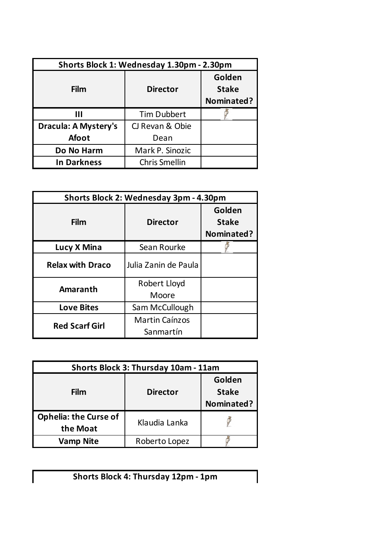| Shorts Block 1: Wednesday 1.30pm - 2.30pm |                      |                                      |
|-------------------------------------------|----------------------|--------------------------------------|
| Film                                      | <b>Director</b>      | Golden<br><b>Stake</b><br>Nominated? |
| Ш                                         | <b>Tim Dubbert</b>   |                                      |
| <b>Dracula: A Mystery's</b>               | CJ Revan & Obie      |                                      |
| <b>Afoot</b>                              | Dean                 |                                      |
| Do No Harm                                | Mark P. Sinozic      |                                      |
| <b>In Darkness</b>                        | <b>Chris Smellin</b> |                                      |

| Shorts Block 2: Wednesday 3pm - 4.30pm |                       |                                      |
|----------------------------------------|-----------------------|--------------------------------------|
| Film                                   | <b>Director</b>       | Golden<br><b>Stake</b><br>Nominated? |
| Lucy X Mina                            | Sean Rourke           |                                      |
| <b>Relax with Draco</b>                | Julia Zanin de Paula  |                                      |
| Amaranth                               | Robert Lloyd          |                                      |
|                                        | Moore                 |                                      |
| <b>Love Bites</b>                      | Sam McCullough        |                                      |
| <b>Red Scarf Girl</b>                  | <b>Martin Caínzos</b> |                                      |
|                                        | Sanmartín             |                                      |

| Shorts Block 3: Thursday 10am - 11am     |                 |                                      |
|------------------------------------------|-----------------|--------------------------------------|
| Film                                     | <b>Director</b> | Golden<br><b>Stake</b><br>Nominated? |
| <b>Ophelia: the Curse of</b><br>the Moat | Klaudia Lanka   |                                      |
| <b>Vamp Nite</b>                         | Roberto Lopez   |                                      |

**Shorts Block 4: Thursday 12pm - 1pm**

I

 $\mathbf l$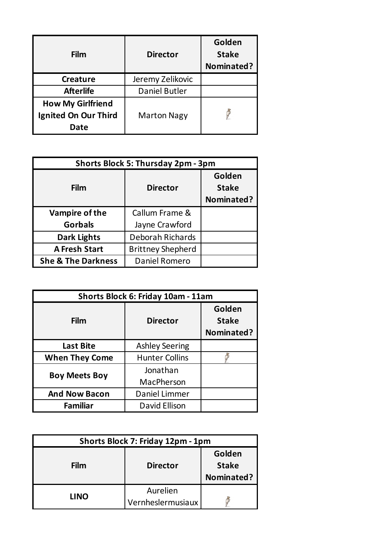| Film                                                            | <b>Director</b>    | Golden<br><b>Stake</b><br>Nominated? |
|-----------------------------------------------------------------|--------------------|--------------------------------------|
| <b>Creature</b>                                                 | Jeremy Zelikovic   |                                      |
| <b>Afterlife</b>                                                | Daniel Butler      |                                      |
| <b>How My Girlfriend</b><br><b>Ignited On Our Third</b><br>Date | <b>Marton Nagy</b> |                                      |

| Shorts Block 5: Thursday 2pm - 3pm |                          |                                      |
|------------------------------------|--------------------------|--------------------------------------|
| Film                               | <b>Director</b>          | Golden<br><b>Stake</b><br>Nominated? |
| Vampire of the                     | Callum Frame &           |                                      |
| <b>Gorbals</b>                     | Jayne Crawford           |                                      |
| <b>Dark Lights</b>                 | <b>Deborah Richards</b>  |                                      |
| <b>A Fresh Start</b>               | <b>Brittney Shepherd</b> |                                      |
| <b>She &amp; The Darkness</b>      | Daniel Romero            |                                      |

| Shorts Block 6: Friday 10am - 11am |                       |                                      |
|------------------------------------|-----------------------|--------------------------------------|
| Film                               | <b>Director</b>       | Golden<br><b>Stake</b><br>Nominated? |
| <b>Last Bite</b>                   | <b>Ashley Seering</b> |                                      |
| <b>When They Come</b>              | <b>Hunter Collins</b> |                                      |
| <b>Boy Meets Boy</b>               | Jonathan              |                                      |
|                                    | MacPherson            |                                      |
| <b>And Now Bacon</b>               | Daniel Limmer         |                                      |
| <b>Familiar</b>                    | David Ellison         |                                      |

| Shorts Block 7: Friday 12pm - 1pm |                               |                                      |
|-----------------------------------|-------------------------------|--------------------------------------|
| Film                              | <b>Director</b>               | Golden<br><b>Stake</b><br>Nominated? |
| <b>LINO</b>                       | Aurelien<br>Vernheslermusiaux |                                      |